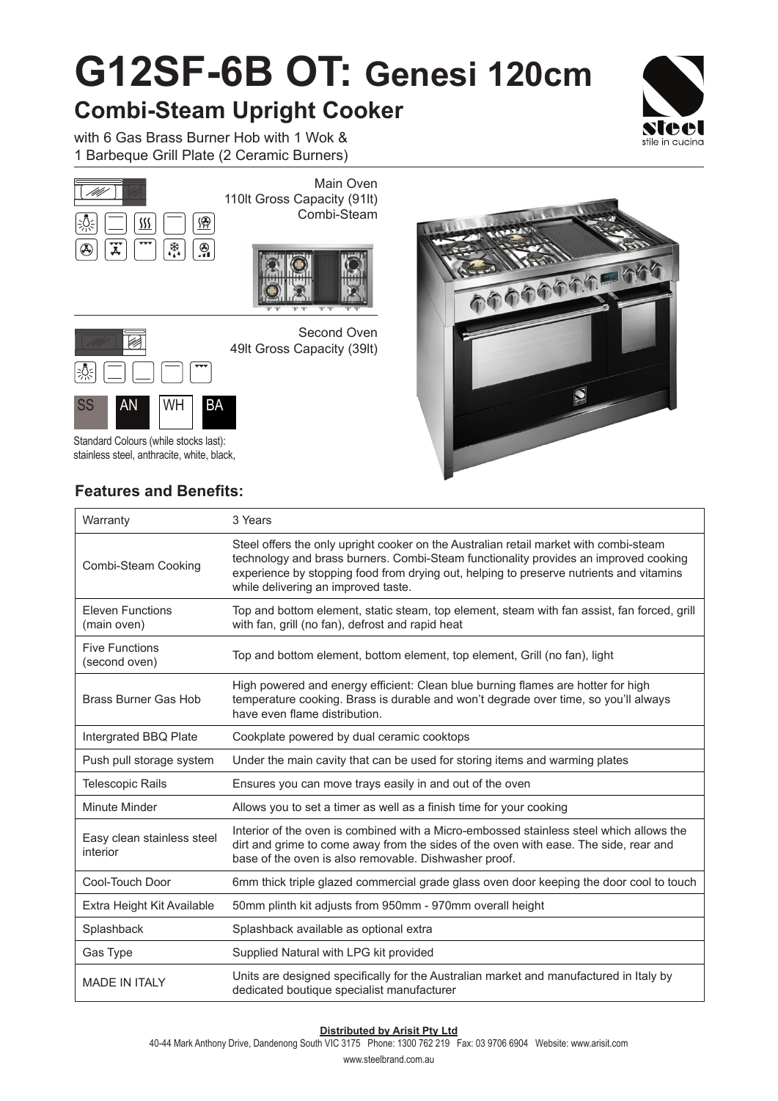## **G12SF-6B OT: Genesi 120cm**

## **Combi-Steam Upright Cooker**

with 6 Gas Brass Burner Hob with 1 Wok & 1 Barbeque Grill Plate (2 Ceramic Burners)







Second Oven 49lt Gross Capacity (39lt)



Standard Colours (while stocks last): stainless steel, anthracite, white, black,

### **Features and Benefits:**

 $\overline{1}$ 



| Warranty                               | 3 Years                                                                                                                                                                                                                                                                                                         |
|----------------------------------------|-----------------------------------------------------------------------------------------------------------------------------------------------------------------------------------------------------------------------------------------------------------------------------------------------------------------|
| Combi-Steam Cooking                    | Steel offers the only upright cooker on the Australian retail market with combi-steam<br>technology and brass burners. Combi-Steam functionality provides an improved cooking<br>experience by stopping food from drying out, helping to preserve nutrients and vitamins<br>while delivering an improved taste. |
| <b>Eleven Functions</b><br>(main oven) | Top and bottom element, static steam, top element, steam with fan assist, fan forced, grill<br>with fan, grill (no fan), defrost and rapid heat                                                                                                                                                                 |
| <b>Five Functions</b><br>(second oven) | Top and bottom element, bottom element, top element, Grill (no fan), light                                                                                                                                                                                                                                      |
| <b>Brass Burner Gas Hob</b>            | High powered and energy efficient: Clean blue burning flames are hotter for high<br>temperature cooking. Brass is durable and won't degrade over time, so you'll always<br>have even flame distribution.                                                                                                        |
| Intergrated BBQ Plate                  | Cookplate powered by dual ceramic cooktops                                                                                                                                                                                                                                                                      |
| Push pull storage system               | Under the main cavity that can be used for storing items and warming plates                                                                                                                                                                                                                                     |
| <b>Telescopic Rails</b>                | Ensures you can move trays easily in and out of the oven                                                                                                                                                                                                                                                        |
| Minute Minder                          | Allows you to set a timer as well as a finish time for your cooking                                                                                                                                                                                                                                             |
| Easy clean stainless steel<br>interior | Interior of the oven is combined with a Micro-embossed stainless steel which allows the<br>dirt and grime to come away from the sides of the oven with ease. The side, rear and<br>base of the oven is also removable. Dishwasher proof.                                                                        |
| Cool-Touch Door                        | 6mm thick triple glazed commercial grade glass oven door keeping the door cool to touch                                                                                                                                                                                                                         |
| Extra Height Kit Available             | 50mm plinth kit adjusts from 950mm - 970mm overall height                                                                                                                                                                                                                                                       |
| Splashback                             | Splashback available as optional extra                                                                                                                                                                                                                                                                          |
| Gas Type                               | Supplied Natural with LPG kit provided                                                                                                                                                                                                                                                                          |
| <b>MADE IN ITALY</b>                   | Units are designed specifically for the Australian market and manufactured in Italy by<br>dedicated boutique specialist manufacturer                                                                                                                                                                            |

#### **Distributed by Arisit Pty Ltd**